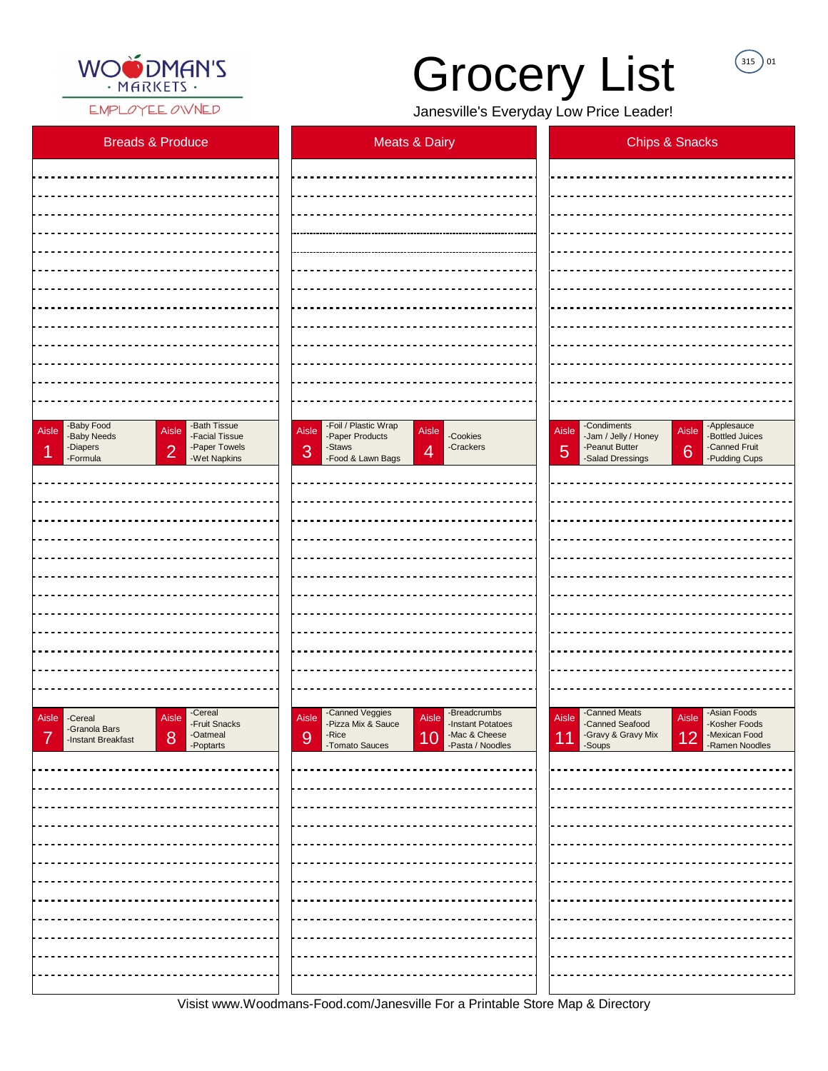

EMPLOYEE OWNED

Visist www.Woodmans-Food.com/Janesville For a Printable Store Map & Directory

## Grocery List

 $(315)$  01

Janesville's Everyday Low Price Leader!

| <b>Breads &amp; Produce</b>                                                                                                                                                      | <b>Meats &amp; Dairy</b>                                                                                                                                                  | <b>Chips &amp; Snacks</b>                                                                                                                                                 |
|----------------------------------------------------------------------------------------------------------------------------------------------------------------------------------|---------------------------------------------------------------------------------------------------------------------------------------------------------------------------|---------------------------------------------------------------------------------------------------------------------------------------------------------------------------|
|                                                                                                                                                                                  |                                                                                                                                                                           |                                                                                                                                                                           |
|                                                                                                                                                                                  |                                                                                                                                                                           |                                                                                                                                                                           |
|                                                                                                                                                                                  |                                                                                                                                                                           |                                                                                                                                                                           |
|                                                                                                                                                                                  |                                                                                                                                                                           |                                                                                                                                                                           |
|                                                                                                                                                                                  |                                                                                                                                                                           |                                                                                                                                                                           |
|                                                                                                                                                                                  |                                                                                                                                                                           |                                                                                                                                                                           |
|                                                                                                                                                                                  |                                                                                                                                                                           |                                                                                                                                                                           |
|                                                                                                                                                                                  |                                                                                                                                                                           |                                                                                                                                                                           |
|                                                                                                                                                                                  |                                                                                                                                                                           |                                                                                                                                                                           |
|                                                                                                                                                                                  |                                                                                                                                                                           |                                                                                                                                                                           |
|                                                                                                                                                                                  |                                                                                                                                                                           |                                                                                                                                                                           |
| -Baby Food<br>-Bath Tissue<br>Aisle<br>Aisle<br>-Facial Tissue<br>-Baby Needs<br>-Paper Towels<br>-Diapers<br>$\overline{2}$<br>$\blacktriangleleft$<br>-Wet Napkins<br>-Formula | -Foil / Plastic Wrap<br>Aisle<br>Aisle<br>-Cookies<br>-Paper Products<br>-Staws<br>-Crackers<br>3<br>$\overline{4}$<br>-Food & Lawn Bags                                  | -Condiments<br>-Applesauce<br>-Bottled Juices<br>Aisle<br>Aisle<br>-Jam / Jelly / Honey<br>-Peanut Butter<br>-Canned Fruit<br>6<br>5<br>-Salad Dressings<br>-Pudding Cups |
|                                                                                                                                                                                  |                                                                                                                                                                           |                                                                                                                                                                           |
|                                                                                                                                                                                  |                                                                                                                                                                           |                                                                                                                                                                           |
|                                                                                                                                                                                  |                                                                                                                                                                           |                                                                                                                                                                           |
|                                                                                                                                                                                  |                                                                                                                                                                           |                                                                                                                                                                           |
|                                                                                                                                                                                  |                                                                                                                                                                           |                                                                                                                                                                           |
|                                                                                                                                                                                  |                                                                                                                                                                           |                                                                                                                                                                           |
|                                                                                                                                                                                  |                                                                                                                                                                           |                                                                                                                                                                           |
|                                                                                                                                                                                  |                                                                                                                                                                           |                                                                                                                                                                           |
|                                                                                                                                                                                  |                                                                                                                                                                           |                                                                                                                                                                           |
|                                                                                                                                                                                  |                                                                                                                                                                           |                                                                                                                                                                           |
| -Cereal<br>Aisle<br>Aisle Cereal<br>-Fruit Snacks<br>-Granola Bars<br>-Oatmeal<br>8<br>7<br>-Instant Breakfast<br>-Poptarts                                                      | -Canned Veggies<br>-Breadcrumbs<br>Aisle<br>Aisle<br>-Pizza Mix & Sauce<br>-Instant Potatoes<br>$-Rice$<br>-Mac & Cheese<br>10<br>9<br>-Tomato Sauces<br>-Pasta / Noodles | -Canned Meats<br>-Asian Foods<br>Aisle<br>Aisle<br>-Canned Seafood<br>-Kosher Foods<br>-Gravy & Gravy Mix<br>-Mexican Food<br>12<br>11<br>-Ramen Noodles<br>-Soups        |
|                                                                                                                                                                                  |                                                                                                                                                                           |                                                                                                                                                                           |
|                                                                                                                                                                                  |                                                                                                                                                                           |                                                                                                                                                                           |
|                                                                                                                                                                                  |                                                                                                                                                                           |                                                                                                                                                                           |
|                                                                                                                                                                                  |                                                                                                                                                                           |                                                                                                                                                                           |
|                                                                                                                                                                                  |                                                                                                                                                                           |                                                                                                                                                                           |
|                                                                                                                                                                                  |                                                                                                                                                                           |                                                                                                                                                                           |
|                                                                                                                                                                                  |                                                                                                                                                                           |                                                                                                                                                                           |
|                                                                                                                                                                                  |                                                                                                                                                                           |                                                                                                                                                                           |
|                                                                                                                                                                                  |                                                                                                                                                                           |                                                                                                                                                                           |
|                                                                                                                                                                                  |                                                                                                                                                                           |                                                                                                                                                                           |